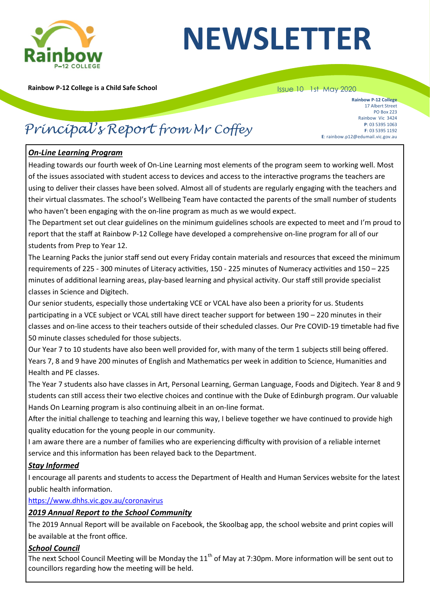

# **NEWSLETTER**

**Rainbow P-12 College is a Child Safe School**

#### Issue 10 1st May 2020

**Rainbow P-12 College** 17 Albert Street PO Box 223 Rainbow Vic 3424 **P**: 03 5395 1063 **F**: 03 5395 1192 **E**: rainbow.p12@edumail.vic.gov.au

## *Principal's Report from Mr Coffey*

#### *On-Line Learning Program*

Heading towards our fourth week of On-Line Learning most elements of the program seem to working well. Most of the issues associated with student access to devices and access to the interactive programs the teachers are using to deliver their classes have been solved. Almost all of students are regularly engaging with the teachers and their virtual classmates. The school's Wellbeing Team have contacted the parents of the small number of students who haven't been engaging with the on-line program as much as we would expect.

The Department set out clear guidelines on the minimum guidelines schools are expected to meet and I'm proud to report that the staff at Rainbow P-12 College have developed a comprehensive on-line program for all of our students from Prep to Year 12.

The Learning Packs the junior staff send out every Friday contain materials and resources that exceed the minimum requirements of 225 - 300 minutes of Literacy activities, 150 - 225 minutes of Numeracy activities and 150 – 225 minutes of additional learning areas, play-based learning and physical activity. Our staff still provide specialist classes in Science and Digitech.

Our senior students, especially those undertaking VCE or VCAL have also been a priority for us. Students participating in a VCE subject or VCAL still have direct teacher support for between 190 – 220 minutes in their classes and on-line access to their teachers outside of their scheduled classes. Our Pre COVID-19 timetable had five 50 minute classes scheduled for those subjects.

Our Year 7 to 10 students have also been well provided for, with many of the term 1 subjects still being offered. Years 7, 8 and 9 have 200 minutes of English and Mathematics per week in addition to Science, Humanities and Health and PE classes.

The Year 7 students also have classes in Art, Personal Learning, German Language, Foods and Digitech. Year 8 and 9 students can still access their two elective choices and continue with the Duke of Edinburgh program. Our valuable Hands On Learning program is also continuing albeit in an on-line format.

After the initial challenge to teaching and learning this way, I believe together we have continued to provide high quality education for the young people in our community.

I am aware there are a number of families who are experiencing difficulty with provision of a reliable internet service and this information has been relayed back to the Department.

#### *Stay Informed*

I encourage all parents and students to access the Department of Health and Human Services website for the latest public health information.

#### <https://www.dhhs.vic.gov.au/coronavirus>

#### *2019 Annual Report to the School Community*

The 2019 Annual Report will be available on Facebook, the Skoolbag app, the school website and print copies will be available at the front office.

#### *School Council*

The next School Council Meeting will be Monday the  $11<sup>th</sup>$  of May at 7:30pm. More information will be sent out to councillors regarding how the meeting will be held.